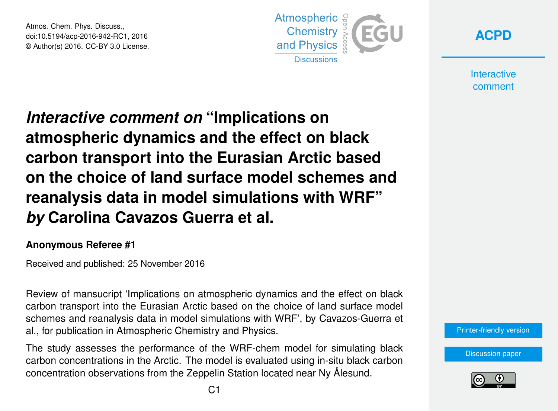Atmos. Chem. Phys. Discuss., doi:10.5194/acp-2016-942-RC1, 2016 © Author(s) 2016. CC-BY 3.0 License.



**[ACPD](http://www.atmos-chem-phys-discuss.net/)**

**Interactive** comment

# *Interactive comment on* **"Implications on atmospheric dynamics and the effect on black carbon transport into the Eurasian Arctic based on the choice of land surface model schemes and reanalysis data in model simulations with WRF"** *by* **Carolina Cavazos Guerra et al.**

#### **Anonymous Referee #1**

Received and published: 25 November 2016

Review of mansucript 'Implications on atmospheric dynamics and the effect on black carbon transport into the Eurasian Arctic based on the choice of land surface model schemes and reanalysis data in model simulations with WRF', by Cavazos-Guerra et al., for publication in Atmospheric Chemistry and Physics.

The study assesses the performance of the WRF-chem model for simulating black carbon concentrations in the Arctic. The model is evaluated using in-situ black carbon concentration observations from the Zeppelin Station located near Ny Ålesund.

[Printer-friendly version](http://www.atmos-chem-phys-discuss.net/acp-2016-942/acp-2016-942-RC1-print.pdf)

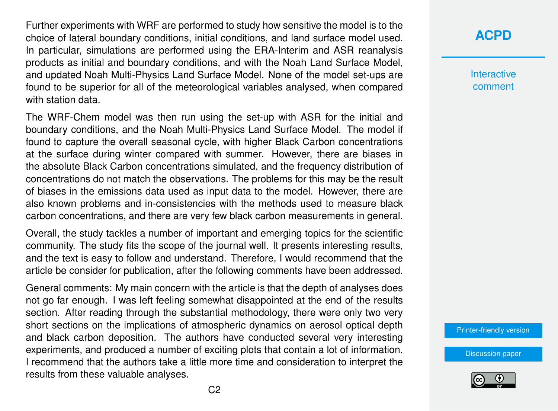Further experiments with WRF are performed to study how sensitive the model is to the choice of lateral boundary conditions, initial conditions, and land surface model used. In particular, simulations are performed using the ERA-Interim and ASR reanalysis products as initial and boundary conditions, and with the Noah Land Surface Model, and updated Noah Multi-Physics Land Surface Model. None of the model set-ups are found to be superior for all of the meteorological variables analysed, when compared with station data.

The WRF-Chem model was then run using the set-up with ASR for the initial and boundary conditions, and the Noah Multi-Physics Land Surface Model. The model if found to capture the overall seasonal cycle, with higher Black Carbon concentrations at the surface during winter compared with summer. However, there are biases in the absolute Black Carbon concentrations simulated, and the frequency distribution of concentrations do not match the observations. The problems for this may be the result of biases in the emissions data used as input data to the model. However, there are also known problems and in-consistencies with the methods used to measure black carbon concentrations, and there are very few black carbon measurements in general.

Overall, the study tackles a number of important and emerging topics for the scientific community. The study fits the scope of the journal well. It presents interesting results, and the text is easy to follow and understand. Therefore, I would recommend that the article be consider for publication, after the following comments have been addressed.

General comments: My main concern with the article is that the depth of analyses does not go far enough. I was left feeling somewhat disappointed at the end of the results section. After reading through the substantial methodology, there were only two very short sections on the implications of atmospheric dynamics on aerosol optical depth and black carbon deposition. The authors have conducted several very interesting experiments, and produced a number of exciting plots that contain a lot of information. I recommend that the authors take a little more time and consideration to interpret the results from these valuable analyses.

#### **[ACPD](http://www.atmos-chem-phys-discuss.net/)**

**Interactive** comment

[Printer-friendly version](http://www.atmos-chem-phys-discuss.net/acp-2016-942/acp-2016-942-RC1-print.pdf)

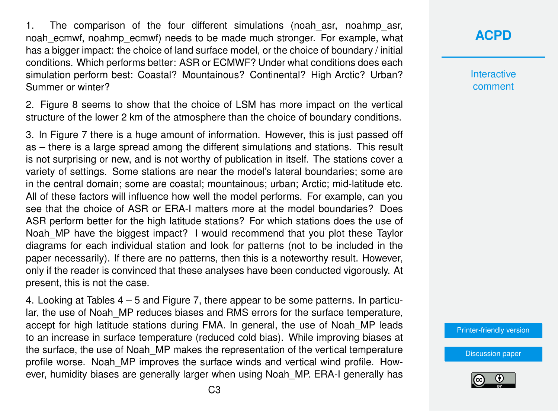1. The comparison of the four different simulations (noah asr, noahmp asr, noah ecmwf, noahmp ecmwf) needs to be made much stronger. For example, what has a bigger impact: the choice of land surface model, or the choice of boundary / initial conditions. Which performs better: ASR or ECMWF? Under what conditions does each simulation perform best: Coastal? Mountainous? Continental? High Arctic? Urban? Summer or winter?

2. Figure 8 seems to show that the choice of LSM has more impact on the vertical structure of the lower 2 km of the atmosphere than the choice of boundary conditions.

3. In Figure 7 there is a huge amount of information. However, this is just passed off as – there is a large spread among the different simulations and stations. This result is not surprising or new, and is not worthy of publication in itself. The stations cover a variety of settings. Some stations are near the model's lateral boundaries; some are in the central domain; some are coastal; mountainous; urban; Arctic; mid-latitude etc. All of these factors will influence how well the model performs. For example, can you see that the choice of ASR or ERA-I matters more at the model boundaries? Does ASR perform better for the high latitude stations? For which stations does the use of Noah MP have the biggest impact? I would recommend that you plot these Taylor diagrams for each individual station and look for patterns (not to be included in the paper necessarily). If there are no patterns, then this is a noteworthy result. However, only if the reader is convinced that these analyses have been conducted vigorously. At present, this is not the case.

4. Looking at Tables 4 – 5 and Figure 7, there appear to be some patterns. In particular, the use of Noah MP reduces biases and RMS errors for the surface temperature, accept for high latitude stations during FMA. In general, the use of Noah\_MP leads to an increase in surface temperature (reduced cold bias). While improving biases at the surface, the use of Noah MP makes the representation of the vertical temperature profile worse. Noah\_MP improves the surface winds and vertical wind profile. However, humidity biases are generally larger when using Noah\_MP. ERA-I generally has

### **[ACPD](http://www.atmos-chem-phys-discuss.net/)**

**Interactive** comment

[Printer-friendly version](http://www.atmos-chem-phys-discuss.net/acp-2016-942/acp-2016-942-RC1-print.pdf)

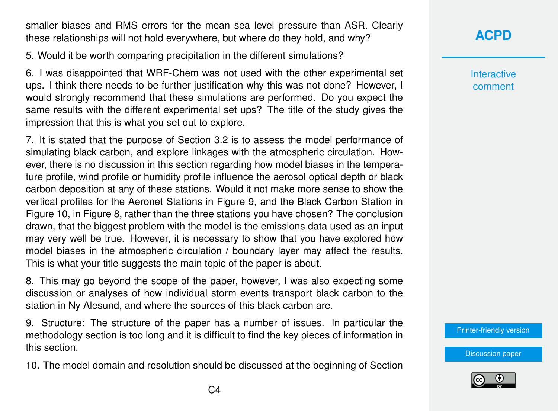smaller biases and RMS errors for the mean sea level pressure than ASR. Clearly these relationships will not hold everywhere, but where do they hold, and why?

5. Would it be worth comparing precipitation in the different simulations?

6. I was disappointed that WRF-Chem was not used with the other experimental set ups. I think there needs to be further justification why this was not done? However, I would strongly recommend that these simulations are performed. Do you expect the same results with the different experimental set ups? The title of the study gives the impression that this is what you set out to explore.

7. It is stated that the purpose of Section 3.2 is to assess the model performance of simulating black carbon, and explore linkages with the atmospheric circulation. However, there is no discussion in this section regarding how model biases in the temperature profile, wind profile or humidity profile influence the aerosol optical depth or black carbon deposition at any of these stations. Would it not make more sense to show the vertical profiles for the Aeronet Stations in Figure 9, and the Black Carbon Station in Figure 10, in Figure 8, rather than the three stations you have chosen? The conclusion drawn, that the biggest problem with the model is the emissions data used as an input may very well be true. However, it is necessary to show that you have explored how model biases in the atmospheric circulation / boundary layer may affect the results. This is what your title suggests the main topic of the paper is about.

8. This may go beyond the scope of the paper, however, I was also expecting some discussion or analyses of how individual storm events transport black carbon to the station in Ny Alesund, and where the sources of this black carbon are.

9. Structure: The structure of the paper has a number of issues. In particular the methodology section is too long and it is difficult to find the key pieces of information in this section.

10. The model domain and resolution should be discussed at the beginning of Section

## **[ACPD](http://www.atmos-chem-phys-discuss.net/)**

**Interactive** comment

[Printer-friendly version](http://www.atmos-chem-phys-discuss.net/acp-2016-942/acp-2016-942-RC1-print.pdf)

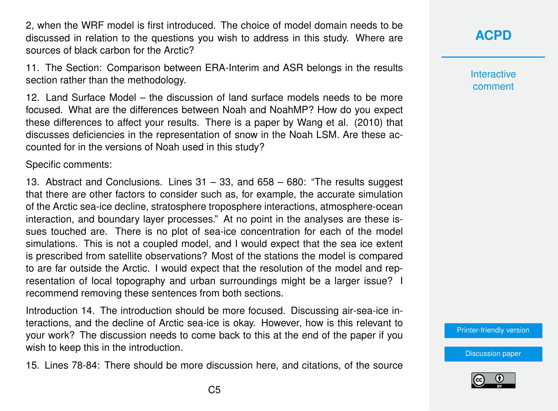2, when the WRF model is first introduced. The choice of model domain needs to be discussed in relation to the questions you wish to address in this study. Where are sources of black carbon for the Arctic?

11. The Section: Comparison between ERA-Interim and ASR belongs in the results section rather than the methodology.

12. Land Surface Model – the discussion of land surface models needs to be more focused. What are the differences between Noah and NoahMP? How do you expect these differences to affect your results. There is a paper by Wang et al. (2010) that discusses deficiencies in the representation of snow in the Noah LSM. Are these accounted for in the versions of Noah used in this study?

Specific comments:

13. Abstract and Conclusions. Lines 31 – 33, and 658 – 680: "The results suggest that there are other factors to consider such as, for example, the accurate simulation of the Arctic sea-ice decline, stratosphere troposphere interactions, atmosphere-ocean interaction, and boundary layer processes." At no point in the analyses are these issues touched are. There is no plot of sea-ice concentration for each of the model simulations. This is not a coupled model, and I would expect that the sea ice extent is prescribed from satellite observations? Most of the stations the model is compared to are far outside the Arctic. I would expect that the resolution of the model and representation of local topography and urban surroundings might be a larger issue? I recommend removing these sentences from both sections.

Introduction 14. The introduction should be more focused. Discussing air-sea-ice interactions, and the decline of Arctic sea-ice is okay. However, how is this relevant to your work? The discussion needs to come back to this at the end of the paper if you wish to keep this in the introduction.

15. Lines 78-84: There should be more discussion here, and citations, of the source

**Interactive** comment

[Printer-friendly version](http://www.atmos-chem-phys-discuss.net/acp-2016-942/acp-2016-942-RC1-print.pdf)

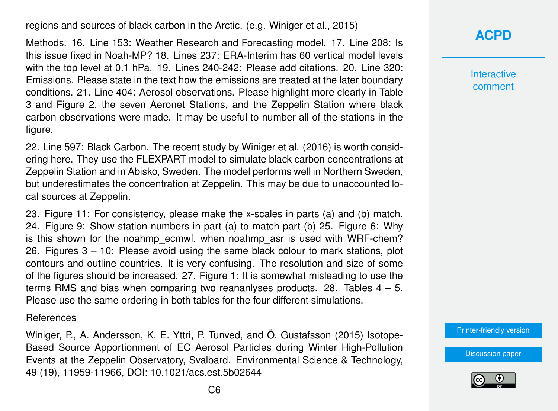regions and sources of black carbon in the Arctic. (e.g. Winiger et al., 2015)

Methods. 16. Line 153: Weather Research and Forecasting model. 17. Line 208: Is this issue fixed in Noah-MP? 18. Lines 237: ERA-Interim has 60 vertical model levels with the top level at 0.1 hPa. 19. Lines 240-242: Please add citations. 20. Line 320: Emissions. Please state in the text how the emissions are treated at the later boundary conditions. 21. Line 404: Aerosol observations. Please highlight more clearly in Table 3 and Figure 2, the seven Aeronet Stations, and the Zeppelin Station where black carbon observations were made. It may be useful to number all of the stations in the figure.

22. Line 597: Black Carbon. The recent study by Winiger et al. (2016) is worth considering here. They use the FLEXPART model to simulate black carbon concentrations at Zeppelin Station and in Abisko, Sweden. The model performs well in Northern Sweden, but underestimates the concentration at Zeppelin. This may be due to unaccounted local sources at Zeppelin.

23. Figure 11: For consistency, please make the x-scales in parts (a) and (b) match. 24. Figure 9: Show station numbers in part (a) to match part (b) 25. Figure 6: Why is this shown for the noahmp ecmwf, when noahmp asr is used with WRF-chem? 26. Figures 3 – 10: Please avoid using the same black colour to mark stations, plot contours and outline countries. It is very confusing. The resolution and size of some of the figures should be increased. 27. Figure 1: It is somewhat misleading to use the terms RMS and bias when comparing two reananlyses products. 28. Tables  $4 - 5$ . Please use the same ordering in both tables for the four different simulations.

References

Winiger, P., A. Andersson, K. E. Yttri, P. Tunved, and Ö. Gustafsson (2015) Isotope-Based Source Apportionment of EC Aerosol Particles during Winter High-Pollution Events at the Zeppelin Observatory, Svalbard. Environmental Science & Technology, 49 (19), 11959-11966, DOI: 10.1021/acs.est.5b02644



**Interactive** comment

[Printer-friendly version](http://www.atmos-chem-phys-discuss.net/acp-2016-942/acp-2016-942-RC1-print.pdf)